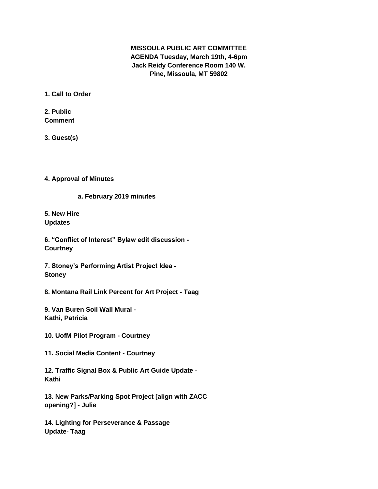# **MISSOULA PUBLIC ART COMMITTEE AGENDA Tuesday, March 19th, 4-6pm Jack Reidy Conference Room 140 W. Pine, Missoula, MT 59802**

**1. Call to Order** 

**2. Public Comment** 

**3. Guest(s)** 

**4. Approval of Minutes** 

**a. February 2019 minutes** 

**5. New Hire Updates** 

**6. "Conflict of Interest" Bylaw edit discussion - Courtney** 

**7. Stoney's Performing Artist Project Idea - Stoney** 

**8. Montana Rail Link Percent for Art Project - Taag** 

**9. Van Buren Soil Wall Mural - Kathi, Patricia** 

**10. UofM Pilot Program - Courtney** 

**11. Social Media Content - Courtney** 

**12. Traffic Signal Box & Public Art Guide Update - Kathi** 

**13. New Parks/Parking Spot Project [align with ZACC opening?] - Julie** 

**14. Lighting for Perseverance & Passage Update- Taag**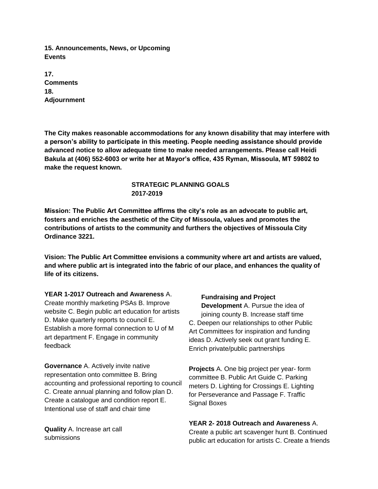**15. Announcements, News, or Upcoming Events** 

**17. Comments 18. Adjournment** 

**The City makes reasonable accommodations for any known disability that may interfere with a person's ability to participate in this meeting. People needing assistance should provide advanced notice to allow adequate time to make needed arrangements. Please call Heidi Bakula at (406) 552-6003 or write her at Mayor's office, 435 Ryman, Missoula, MT 59802 to make the request known.** 

## **STRATEGIC PLANNING GOALS 2017-2019**

**Mission: The Public Art Committee affirms the city's role as an advocate to public art, fosters and enriches the aesthetic of the City of Missoula, values and promotes the contributions of artists to the community and furthers the objectives of Missoula City Ordinance 3221.** 

**Vision: The Public Art Committee envisions a community where art and artists are valued, and where public art is integrated into the fabric of our place, and enhances the quality of life of its citizens.** 

**YEAR 1-2017 Outreach and Awareness** A. Create monthly marketing PSAs B. Improve website C. Begin public art education for artists D. Make quarterly reports to council E. Establish a more formal connection to U of M art department F. Engage in community feedback

**Governance** A. Actively invite native representation onto committee B. Bring accounting and professional reporting to council C. Create annual planning and follow plan D. Create a catalogue and condition report E. Intentional use of staff and chair time

**Quality** A. Increase art call submissions

**Fundraising and Project Development** A. Pursue the idea of joining county B. Increase staff time C. Deepen our relationships to other Public Art Committees for inspiration and funding ideas D. Actively seek out grant funding E. Enrich private/public partnerships

**Projects** A. One big project per year- form committee B. Public Art Guide C. Parking meters D. Lighting for Crossings E. Lighting for Perseverance and Passage F. Traffic Signal Boxes

## **YEAR 2- 2018 Outreach and Awareness** A.

Create a public art scavenger hunt B. Continued public art education for artists C. Create a friends